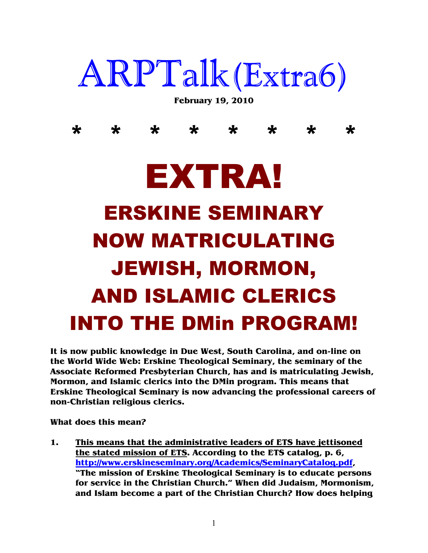## ARPTalk(Extra6)

**February 19, 2010** 

\* \* \* \* \* \* \* \*

## EXTRA! ERSKINE SEMINARY NOW MATRICULATING JEWISH, MORMON, AND ISLAMIC CLERICS INTO THE DMin PROGRAM!

**It is now public knowledge in Due West, South Carolina, and on-line on the World Wide Web: Erskine Theological Seminary, the seminary of the Associate Reformed Presbyterian Church, has and is matriculating Jewish, Mormon, and Islamic clerics into the DMin program. This means that Erskine Theological Seminary is now advancing the professional careers of non-Christian religious clerics.** 

**What does this mean?** 

**1. This means that the administrative leaders of ETS have jettisoned the stated mission of ETS. According to the ETS catalog, p. 6, http://www.erskineseminary.org/Academics/SeminaryCatalog.pdf, "The mission of Erskine Theological Seminary is to educate persons for service in the Christian Church." When did Judaism, Mormonism, and Islam become a part of the Christian Church? How does helping**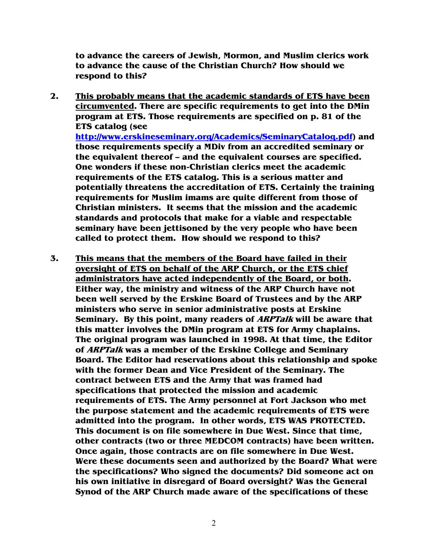**to advance the careers of Jewish, Mormon, and Muslim clerics work to advance the cause of the Christian Church? How should we respond to this?** 

- **2. This probably means that the academic standards of ETS have been circumvented. There are specific requirements to get into the DMin program at ETS. Those requirements are specified on p. 81 of the ETS catalog (see http://www.erskineseminary.org/Academics/SeminaryCatalog.pdf) and those requirements specify a MDiv from an accredited seminary or the equivalent thereof – and the equivalent courses are specified. One wonders if these non-Christian clerics meet the academic requirements of the ETS catalog. This is a serious matter and potentially threatens the accreditation of ETS. Certainly the training requirements for Muslim imams are quite different from those of Christian ministers. It seems that the mission and the academic standards and protocols that make for a viable and respectable seminary have been jettisoned by the very people who have been called to protect them. How should we respond to this?**
- **3. This means that the members of the Board have failed in their oversight of ETS on behalf of the ARP Church, or the ETS chief administrators have acted independently of the Board, or both. Either way, the ministry and witness of the ARP Church have not been well served by the Erskine Board of Trustees and by the ARP ministers who serve in senior administrative posts at Erskine Seminary. By this point, many readers of ARPTalk will be aware that this matter involves the DMin program at ETS for Army chaplains. The original program was launched in 1998. At that time, the Editor of ARPTalk was a member of the Erskine College and Seminary Board. The Editor had reservations about this relationship and spoke with the former Dean and Vice President of the Seminary. The contract between ETS and the Army that was framed had specifications that protected the mission and academic requirements of ETS. The Army personnel at Fort Jackson who met the purpose statement and the academic requirements of ETS were admitted into the program. In other words, ETS WAS PROTECTED. This document is on file somewhere in Due West. Since that time, other contracts (two or three MEDCOM contracts) have been written. Once again, those contracts are on file somewhere in Due West. Were these documents seen and authorized by the Board? What were the specifications? Who signed the documents? Did someone act on his own initiative in disregard of Board oversight? Was the General Synod of the ARP Church made aware of the specifications of these**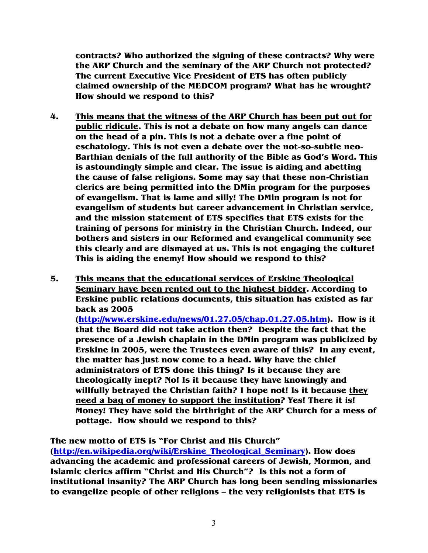**contracts? Who authorized the signing of these contracts? Why were the ARP Church and the seminary of the ARP Church not protected? The current Executive Vice President of ETS has often publicly claimed ownership of the MEDCOM program? What has he wrought? How should we respond to this?** 

- **4. This means that the witness of the ARP Church has been put out for public ridicule. This is not a debate on how many angels can dance on the head of a pin. This is not a debate over a fine point of eschatology. This is not even a debate over the not-so-subtle neo-Barthian denials of the full authority of the Bible as God's Word. This is astoundingly simple and clear. The issue is aiding and abetting the cause of false religions. Some may say that these non-Christian clerics are being permitted into the DMin program for the purposes of evangelism. That is lame and silly! The DMin program is not for evangelism of students but career advancement in Christian service, and the mission statement of ETS specifies that ETS exists for the training of persons for ministry in the Christian Church. Indeed, our bothers and sisters in our Reformed and evangelical community see this clearly and are dismayed at us. This is not engaging the culture! This is aiding the enemy! How should we respond to this?**
- **5. This means that the educational services of Erskine Theological Seminary have been rented out to the highest bidder. According to Erskine public relations documents, this situation has existed as far back as 2005 (http://www.erskine.edu/news/01.27.05/chap.01.27.05.htm). How is it that the Board did not take action then? Despite the fact that the presence of a Jewish chaplain in the DMin program was publicized by Erskine in 2005, were the Trustees even aware of this? In any event, the matter has just now come to a head. Why have the chief administrators of ETS done this thing? Is it because they are theologically inept? No! Is it because they have knowingly and willfully betrayed the Christian faith? I hope not! Is it because they need a bag of money to support the institution? Yes! There it is! Money! They have sold the birthright of the ARP Church for a mess of pottage. How should we respond to this?**

**The new motto of ETS is "For Christ and His Church"**

**(http://en.wikipedia.org/wiki/Erskine\_Theological\_Seminary). How does advancing the academic and professional careers of Jewish, Mormon, and Islamic clerics affirm "Christ and His Church"? Is this not a form of institutional insanity? The ARP Church has long been sending missionaries to evangelize people of other religions – the very religionists that ETS is**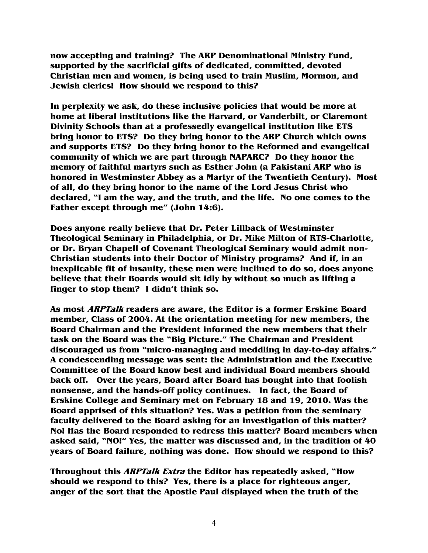**now accepting and training? The ARP Denominational Ministry Fund, supported by the sacrificial gifts of dedicated, committed, devoted Christian men and women, is being used to train Muslim, Mormon, and Jewish clerics! How should we respond to this?** 

**In perplexity we ask, do these inclusive policies that would be more at home at liberal institutions like the Harvard, or Vanderbilt, or Claremont Divinity Schools than at a professedly evangelical institution like ETS bring honor to ETS? Do they bring honor to the ARP Church which owns and supports ETS? Do they bring honor to the Reformed and evangelical community of which we are part through NAPARC? Do they honor the memory of faithful martyrs such as Esther John (a Pakistani ARP who is honored in Westminster Abbey as a Martyr of the Twentieth Century). Most of all, do they bring honor to the name of the Lord Jesus Christ who declared, "I am the way, and the truth, and the life. No one comes to the Father except through me" (John 14:6).** 

**Does anyone really believe that Dr. Peter Lillback of Westminster Theological Seminary in Philadelphia, or Dr. Mike Milton of RTS-Charlotte, or Dr. Bryan Chapell of Covenant Theological Seminary would admit non-Christian students into their Doctor of Ministry programs? And if, in an inexplicable fit of insanity, these men were inclined to do so, does anyone believe that their Boards would sit idly by without so much as lifting a finger to stop them? I didn't think so.** 

**As most ARPTalk readers are aware, the Editor is a former Erskine Board member, Class of 2004. At the orientation meeting for new members, the Board Chairman and the President informed the new members that their task on the Board was the "Big Picture." The Chairman and President discouraged us from "micro-managing and meddling in day-to-day affairs." A condescending message was sent: the Administration and the Executive Committee of the Board know best and individual Board members should back off. Over the years, Board after Board has bought into that foolish nonsense, and the hands-off policy continues. In fact, the Board of Erskine College and Seminary met on February 18 and 19, 2010. Was the Board apprised of this situation? Yes. Was a petition from the seminary faculty delivered to the Board asking for an investigation of this matter? No! Has the Board responded to redress this matter? Board members when asked said, "NO!" Yes, the matter was discussed and, in the tradition of 40 years of Board failure, nothing was done. How should we respond to this?** 

**Throughout this ARPTalk Extra the Editor has repeatedly asked, "How should we respond to this? Yes, there is a place for righteous anger, anger of the sort that the Apostle Paul displayed when the truth of the**